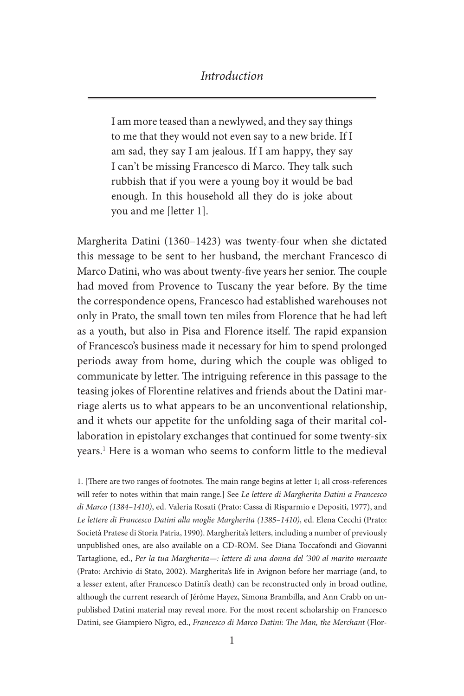### *Introduction*

I am more teased than a newlywed, and they say things to me that they would not even say to a new bride. If I am sad, they say I am jealous. If I am happy, they say I can't be missing Francesco di Marco. They talk such rubbish that if you were a young boy it would be bad enough. In this household all they do is joke about you and me [letter 1].

Margherita Datini (1360–1423) was twenty-four when she dictated this message to be sent to her husband, the merchant Francesco di Marco Datini, who was about twenty-five years her senior. The couple had moved from Provence to Tuscany the year before. By the time the correspondence opens, Francesco had established warehouses not only in Prato, the small town ten miles from Florence that he had left as a youth, but also in Pisa and Florence itself. The rapid expansion of Francesco's business made it necessary for him to spend prolonged periods away from home, during which the couple was obliged to communicate by letter. The intriguing reference in this passage to the teasing jokes of Florentine relatives and friends about the Datini marriage alerts us to what appears to be an unconventional relationship, and it whets our appetite for the unfolding saga of their marital collaboration in epistolary exchanges that continued for some twenty-six years.1 Here is a woman who seems to conform little to the medieval

1. [There are two ranges of footnotes. The main range begins at letter 1; all cross-references will refer to notes within that main range.] See *Le lettere di Margherita Datini a Francesco di Marco (1384–1410)*, ed. Valeria Rosati (Prato: Cassa di Risparmio e Depositi, 1977), and *Le lettere di Francesco Datini alla moglie Margherita (1385–1410)*, ed. Elena Cecchi (Prato: Società Pratese di Storia Patria, 1990). Margherita's letters, including a number of previously unpublished ones, are also available on a CD-ROM. See Diana Toccafondi and Giovanni Tartaglione, ed., *Per la tua Margherita—: lettere di una donna del '300 al marito mercante* (Prato: Archivio di Stato, 2002). Margherita's life in Avignon before her marriage (and, to a lesser extent, after Francesco Datini's death) can be reconstructed only in broad outline, although the current research of Jérôme Hayez, Simona Brambilla, and Ann Crabb on unpublished Datini material may reveal more. For the most recent scholarship on Francesco Datini, see Giampiero Nigro, ed., *Francesco di Marco Datini: The Man, the Merchant* (Flor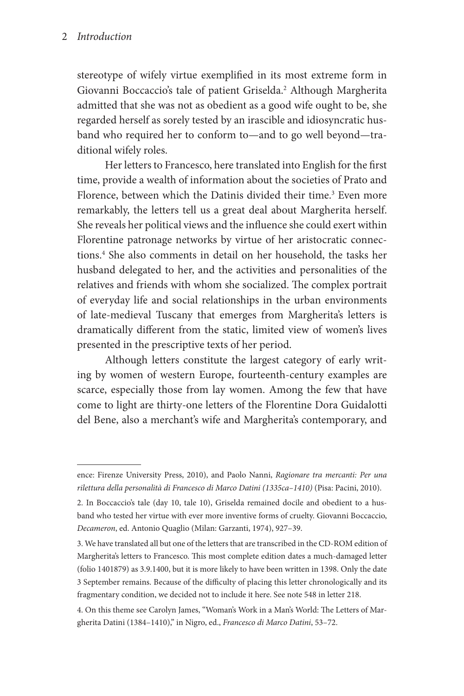stereotype of wifely virtue exemplified in its most extreme form in Giovanni Boccaccio's tale of patient Griselda.<sup>2</sup> Although Margherita admitted that she was not as obedient as a good wife ought to be, she regarded herself as sorely tested by an irascible and idiosyncratic husband who required her to conform to—and to go well beyond—traditional wifely roles.

Her letters to Francesco, here translated into English for the first time, provide a wealth of information about the societies of Prato and Florence, between which the Datinis divided their time.<sup>3</sup> Even more remarkably, the letters tell us a great deal about Margherita herself. She reveals her political views and the influence she could exert within Florentine patronage networks by virtue of her aristocratic connections.4 She also comments in detail on her household, the tasks her husband delegated to her, and the activities and personalities of the relatives and friends with whom she socialized. The complex portrait of everyday life and social relationships in the urban environments of late-medieval Tuscany that emerges from Margherita's letters is dramatically different from the static, limited view of women's lives presented in the prescriptive texts of her period.

Although letters constitute the largest category of early writing by women of western Europe, fourteenth-century examples are scarce, especially those from lay women. Among the few that have come to light are thirty-one letters of the Florentine Dora Guidalotti del Bene, also a merchant's wife and Margherita's contemporary, and

ence: Firenze University Press, 2010), and Paolo Nanni, *Ragionare tra mercanti: Per una rilettura della personalità di Francesco di Marco Datini (1335ca–1410)* (Pisa: Pacini, 2010).

<sup>2.</sup> In Boccaccio's tale (day 10, tale 10), Griselda remained docile and obedient to a husband who tested her virtue with ever more inventive forms of cruelty. Giovanni Boccaccio, *Decameron*, ed. Antonio Quaglio (Milan: Garzanti, 1974), 927–39.

<sup>3.</sup> We have translated all but one of the letters that are transcribed in the CD-ROM edition of Margherita's letters to Francesco. This most complete edition dates a much-damaged letter (folio 1401879) as 3.9.1400, but it is more likely to have been written in 1398. Only the date 3 September remains. Because of the difficulty of placing this letter chronologically and its fragmentary condition, we decided not to include it here. See note 548 in letter 218.

<sup>4.</sup> On this theme see Carolyn James, "Woman's Work in a Man's World: The Letters of Margherita Datini (1384–1410)," in Nigro, ed., *Francesco di Marco Datini*, 53–72.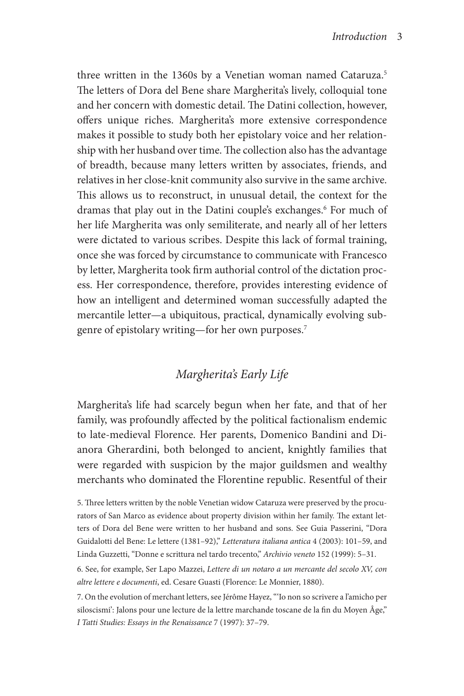three written in the 1360s by a Venetian woman named Cataruza.<sup>5</sup> The letters of Dora del Bene share Margherita's lively, colloquial tone and her concern with domestic detail. The Datini collection, however, offers unique riches. Margherita's more extensive correspondence makes it possible to study both her epistolary voice and her relationship with her husband over time. The collection also has the advantage of breadth, because many letters written by associates, friends, and relatives in her close-knit community also survive in the same archive. This allows us to reconstruct, in unusual detail, the context for the dramas that play out in the Datini couple's exchanges.<sup>6</sup> For much of her life Margherita was only semiliterate, and nearly all of her letters were dictated to various scribes. Despite this lack of formal training, once she was forced by circumstance to communicate with Francesco by letter, Margherita took firm authorial control of the dictation process. Her correspondence, therefore, provides interesting evidence of how an intelligent and determined woman successfully adapted the mercantile letter—a ubiquitous, practical, dynamically evolving subgenre of epistolary writing—for her own purposes.7

# *Margherita's Early Life*

Margherita's life had scarcely begun when her fate, and that of her family, was profoundly affected by the political factionalism endemic to late-medieval Florence. Her parents, Domenico Bandini and Dianora Gherardini, both belonged to ancient, knightly families that were regarded with suspicion by the major guildsmen and wealthy merchants who dominated the Florentine republic. Resentful of their

6. See, for example, Ser Lapo Mazzei, *Lettere di un notaro a un mercante del secolo XV, con altre lettere e documenti*, ed. Cesare Guasti (Florence: Le Monnier, 1880).

7. On the evolution of merchant letters, see Jérôme Hayez, "'Io non so scrivere a l'amicho per siloscismi': Jalons pour une lecture de la lettre marchande toscane de la fin du Moyen Âge," *I Tatti Studies: Essays in the Renaissance* 7 (1997): 37–79.

<sup>5.</sup> Three letters written by the noble Venetian widow Cataruza were preserved by the procurators of San Marco as evidence about property division within her family. The extant letters of Dora del Bene were written to her husband and sons. See Guia Passerini, "Dora Guidalotti del Bene: Le lettere (1381–92)," *Letteratura italiana antica* 4 (2003): 101–59, and Linda Guzzetti, "Donne e scrittura nel tardo trecento," *Archivio veneto* 152 (1999): 5–31.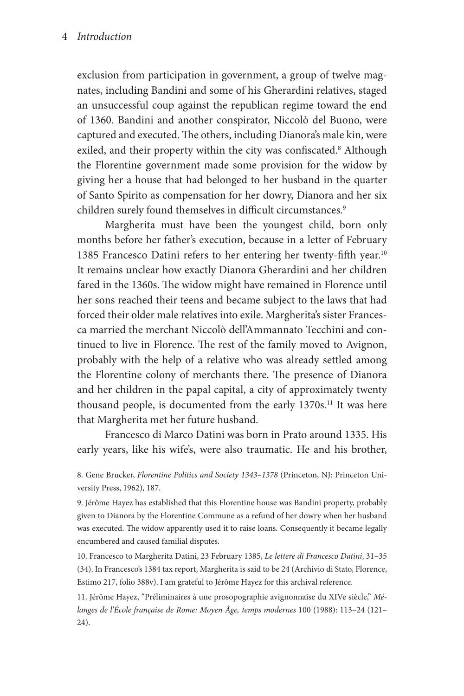#### 4 *Introduction*

exclusion from participation in government, a group of twelve magnates, including Bandini and some of his Gherardini relatives, staged an unsuccessful coup against the republican regime toward the end of 1360. Bandini and another conspirator, Niccolò del Buono, were captured and executed. The others, including Dianora's male kin, were exiled, and their property within the city was confiscated.<sup>8</sup> Although the Florentine government made some provision for the widow by giving her a house that had belonged to her husband in the quarter of Santo Spirito as compensation for her dowry, Dianora and her six children surely found themselves in difficult circumstances.<sup>9</sup>

Margherita must have been the youngest child, born only months before her father's execution, because in a letter of February 1385 Francesco Datini refers to her entering her twenty-fifth year.<sup>10</sup> It remains unclear how exactly Dianora Gherardini and her children fared in the 1360s. The widow might have remained in Florence until her sons reached their teens and became subject to the laws that had forced their older male relatives into exile. Margherita's sister Francesca married the merchant Niccolò dell'Ammannato Tecchini and continued to live in Florence. The rest of the family moved to Avignon, probably with the help of a relative who was already settled among the Florentine colony of merchants there. The presence of Dianora and her children in the papal capital, a city of approximately twenty thousand people, is documented from the early 1370s.<sup>11</sup> It was here that Margherita met her future husband.

Francesco di Marco Datini was born in Prato around 1335. His early years, like his wife's, were also traumatic. He and his brother,

8. Gene Brucker, *Florentine Politics and Society 1343–1378* (Princeton, NJ: Princeton University Press, 1962), 187.

9. Jérôme Hayez has established that this Florentine house was Bandini property, probably given to Dianora by the Florentine Commune as a refund of her dowry when her husband was executed. The widow apparently used it to raise loans. Consequently it became legally encumbered and caused familial disputes.

10. Francesco to Margherita Datini, 23 February 1385, *Le lettere di Francesco Datini*, 31–35 (34). In Francesco's 1384 tax report, Margherita is said to be 24 (Archivio di Stato, Florence, Estimo 217, folio 388v). I am grateful to Jérôme Hayez for this archival reference.

11. Jérôme Hayez, "Préliminaires à une prosopographie avignonnaise du XIVe siècle," *Mélanges de l'École française de Rome: Moyen Âge, temps modernes* 100 (1988): 113–24 (121– 24).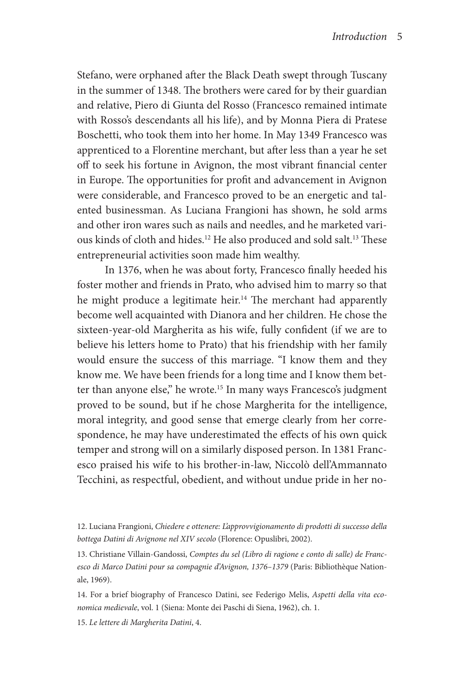Stefano, were orphaned after the Black Death swept through Tuscany in the summer of 1348. The brothers were cared for by their guardian and relative, Piero di Giunta del Rosso (Francesco remained intimate with Rosso's descendants all his life), and by Monna Piera di Pratese Boschetti, who took them into her home. In May 1349 Francesco was apprenticed to a Florentine merchant, but after less than a year he set off to seek his fortune in Avignon, the most vibrant financial center in Europe. The opportunities for profit and advancement in Avignon were considerable, and Francesco proved to be an energetic and talented businessman. As Luciana Frangioni has shown, he sold arms and other iron wares such as nails and needles, and he marketed various kinds of cloth and hides.12 He also produced and sold salt.13 These entrepreneurial activities soon made him wealthy.

In 1376, when he was about forty, Francesco finally heeded his foster mother and friends in Prato, who advised him to marry so that he might produce a legitimate heir.<sup>14</sup> The merchant had apparently become well acquainted with Dianora and her children. He chose the sixteen-year-old Margherita as his wife, fully confident (if we are to believe his letters home to Prato) that his friendship with her family would ensure the success of this marriage. "I know them and they know me. We have been friends for a long time and I know them better than anyone else," he wrote.<sup>15</sup> In many ways Francesco's judgment proved to be sound, but if he chose Margherita for the intelligence, moral integrity, and good sense that emerge clearly from her correspondence, he may have underestimated the effects of his own quick temper and strong will on a similarly disposed person. In 1381 Francesco praised his wife to his brother-in-law, Niccolò dell'Ammannato Tecchini, as respectful, obedient, and without undue pride in her no-

13. Christiane Villain-Gandossi, *Comptes du sel (Libro di ragione e conto di salle) de Francesco di Marco Datini pour sa compagnie d'Avignon, 1376–1379* (Paris: Bibliothèque Nationale, 1969).

14. For a brief biography of Francesco Datini, see Federigo Melis, *Aspetti della vita economica medievale*, vol. 1 (Siena: Monte dei Paschi di Siena, 1962), ch. 1.

15. *Le lettere di Margherita Datini*, 4.

<sup>12.</sup> Luciana Frangioni, *Chiedere e ottenere: L'approvvigionamento di prodotti di successo della bottega Datini di Avignone nel XIV secolo* (Florence: Opuslibri, 2002).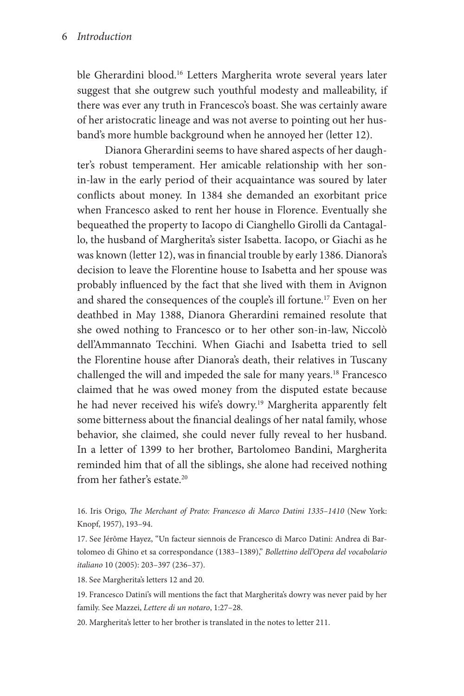ble Gherardini blood.<sup>16</sup> Letters Margherita wrote several years later suggest that she outgrew such youthful modesty and malleability, if there was ever any truth in Francesco's boast. She was certainly aware of her aristocratic lineage and was not averse to pointing out her husband's more humble background when he annoyed her (letter 12).

Dianora Gherardini seems to have shared aspects of her daughter's robust temperament. Her amicable relationship with her sonin-law in the early period of their acquaintance was soured by later conflicts about money. In 1384 she demanded an exorbitant price when Francesco asked to rent her house in Florence. Eventually she bequeathed the property to Iacopo di Cianghello Girolli da Cantagallo, the husband of Margherita's sister Isabetta. Iacopo, or Giachi as he was known (letter 12), was in financial trouble by early 1386. Dianora's decision to leave the Florentine house to Isabetta and her spouse was probably influenced by the fact that she lived with them in Avignon and shared the consequences of the couple's ill fortune.17 Even on her deathbed in May 1388, Dianora Gherardini remained resolute that she owed nothing to Francesco or to her other son-in-law, Niccolò dell'Ammannato Tecchini. When Giachi and Isabetta tried to sell the Florentine house after Dianora's death, their relatives in Tuscany challenged the will and impeded the sale for many years.18 Francesco claimed that he was owed money from the disputed estate because he had never received his wife's dowry.<sup>19</sup> Margherita apparently felt some bitterness about the financial dealings of her natal family, whose behavior, she claimed, she could never fully reveal to her husband. In a letter of 1399 to her brother, Bartolomeo Bandini, Margherita reminded him that of all the siblings, she alone had received nothing from her father's estate.<sup>20</sup>

16. Iris Origo, *The Merchant of Prato: Francesco di Marco Datini 1335–1410* (New York: Knopf, 1957), 193–94.

17. See Jérôme Hayez, "Un facteur siennois de Francesco di Marco Datini: Andrea di Bartolomeo di Ghino et sa correspondance (1383–1389)," *Bollettino dell'Opera del vocabolario italiano* 10 (2005): 203–397 (236–37).

18. See Margherita's letters 12 and 20.

19. Francesco Datini's will mentions the fact that Margherita's dowry was never paid by her family. See Mazzei, *Lettere di un notaro*, 1:27–28.

20. Margherita's letter to her brother is translated in the notes to letter 211.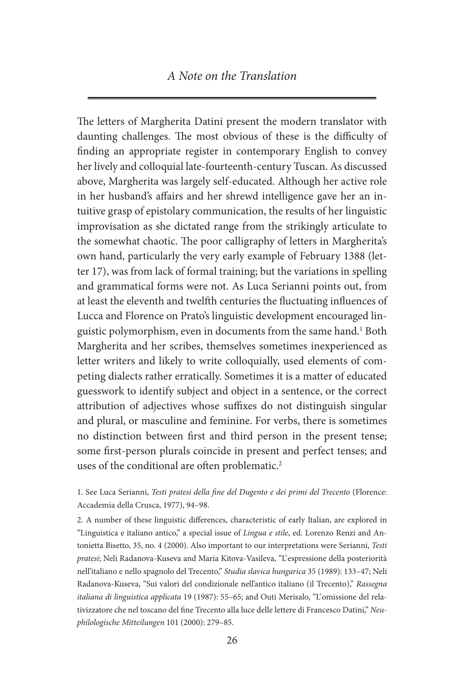### *A Note on the Translation*

The letters of Margherita Datini present the modern translator with daunting challenges. The most obvious of these is the difficulty of finding an appropriate register in contemporary English to convey her lively and colloquial late-fourteenth-century Tuscan. As discussed above, Margherita was largely self-educated. Although her active role in her husband's affairs and her shrewd intelligence gave her an intuitive grasp of epistolary communication, the results of her linguistic improvisation as she dictated range from the strikingly articulate to the somewhat chaotic. The poor calligraphy of letters in Margherita's own hand, particularly the very early example of February 1388 (letter 17), was from lack of formal training; but the variations in spelling and grammatical forms were not. As Luca Serianni points out, from at least the eleventh and twelfth centuries the fluctuating influences of Lucca and Florence on Prato's linguistic development encouraged linguistic polymorphism, even in documents from the same hand.<sup>1</sup> Both Margherita and her scribes, themselves sometimes inexperienced as letter writers and likely to write colloquially, used elements of competing dialects rather erratically. Sometimes it is a matter of educated guesswork to identify subject and object in a sentence, or the correct attribution of adjectives whose suffixes do not distinguish singular and plural, or masculine and feminine. For verbs, there is sometimes no distinction between first and third person in the present tense; some first-person plurals coincide in present and perfect tenses; and uses of the conditional are often problematic.<sup>2</sup>

1. See Luca Serianni, *Testi pratesi della fine del Dugento e dei primi del Trecento* (Florence: Accademia della Crusca, 1977), 94–98.

2. A number of these linguistic differences, characteristic of early Italian, are explored in "Linguistica e italiano antico," a special issue of *Lingua e stile*, ed. Lorenzo Renzi and Antonietta Bisetto, 35, no. 4 (2000). Also important to our interpretations were Serianni, *Testi pratesi*; Neli Radanova-Kuseva and Maria Kitova-Vasileva, "L'espressione della posteriorità nell'italiano e nello spagnolo del Trecento," *Studia slavica hungarica* 35 (1989): 133–47; Neli Radanova-Kuseva, "Sui valori del condizionale nell'antico italiano (il Trecento)," *Rassegna italiana di linguistica applicata* 19 (1987): 55–65; and Outi Merisalo, "L'.omissione del relativizzatore che nel toscano del fine Trecento alla luce delle lettere di Francesco Datini," *Neuphilologische Mitteilungen* 101 (2000): 279–85.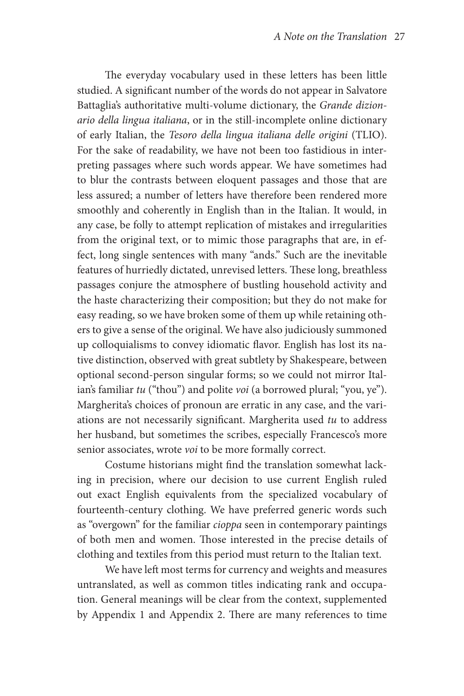The everyday vocabulary used in these letters has been little studied. A significant number of the words do not appear in Salvatore Battaglia's authoritative multi-volume dictionary, the *Grande dizionario della lingua italiana*, or in the still-incomplete online dictionary of early Italian, the *Tesoro della lingua italiana delle origini* (TLIO). For the sake of readability, we have not been too fastidious in interpreting passages where such words appear. We have sometimes had to blur the contrasts between eloquent passages and those that are less assured; a number of letters have therefore been rendered more smoothly and coherently in English than in the Italian. It would, in any case, be folly to attempt replication of mistakes and irregularities from the original text, or to mimic those paragraphs that are, in effect, long single sentences with many "ands." Such are the inevitable features of hurriedly dictated, unrevised letters. These long, breathless passages conjure the atmosphere of bustling household activity and the haste characterizing their composition; but they do not make for easy reading, so we have broken some of them up while retaining others to give a sense of the original. We have also judiciously summoned up colloquialisms to convey idiomatic flavor. English has lost its native distinction, observed with great subtlety by Shakespeare, between optional second-person singular forms; so we could not mirror Italian's familiar *tu* ("thou") and polite *voi* (a borrowed plural; "you, ye"). Margherita's choices of pronoun are erratic in any case, and the variations are not necessarily significant. Margherita used *tu* to address her husband, but sometimes the scribes, especially Francesco's more senior associates, wrote *voi* to be more formally correct.

Costume historians might find the translation somewhat lacking in precision, where our decision to use current English ruled out exact English equivalents from the specialized vocabulary of fourteenth-century clothing. We have preferred generic words such as "overgown" for the familiar *cioppa* seen in contemporary paintings of both men and women. Those interested in the precise details of clothing and textiles from this period must return to the Italian text.

We have left most terms for currency and weights and measures untranslated, as well as common titles indicating rank and occupation. General meanings will be clear from the context, supplemented by Appendix 1 and Appendix 2. There are many references to time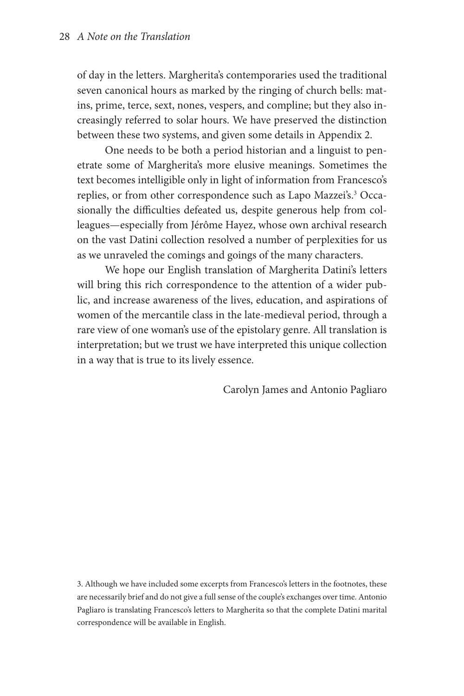of day in the letters. Margherita's contemporaries used the traditional seven canonical hours as marked by the ringing of church bells: matins, prime, terce, sext, nones, vespers, and compline; but they also increasingly referred to solar hours. We have preserved the distinction between these two systems, and given some details in Appendix 2.

One needs to be both a period historian and a linguist to penetrate some of Margherita's more elusive meanings. Sometimes the text becomes intelligible only in light of information from Francesco's replies, or from other correspondence such as Lapo Mazzei's.<sup>3</sup> Occasionally the difficulties defeated us, despite generous help from colleagues—especially from Jérôme Hayez, whose own archival research on the vast Datini collection resolved a number of perplexities for us as we unraveled the comings and goings of the many characters.

We hope our English translation of Margherita Datini's letters will bring this rich correspondence to the attention of a wider public, and increase awareness of the lives, education, and aspirations of women of the mercantile class in the late-medieval period, through a rare view of one woman's use of the epistolary genre. All translation is interpretation; but we trust we have interpreted this unique collection in a way that is true to its lively essence.

Carolyn James and Antonio Pagliaro

3. Although we have included some excerpts from Francesco's letters in the footnotes, these are necessarily brief and do not give a full sense of the couple's exchanges over time. Antonio Pagliaro is translating Francesco's letters to Margherita so that the complete Datini marital correspondence will be available in English.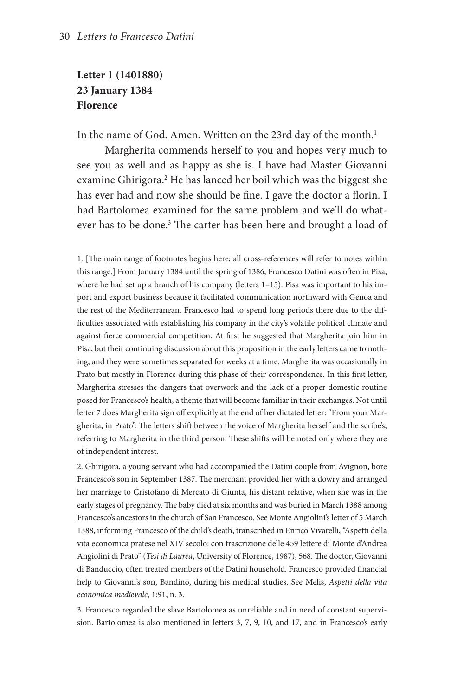### **Letter 1 (1401880) 23 January 1384 Florence**

In the name of God. Amen. Written on the 23rd day of the month.<sup>1</sup>

Margherita commends herself to you and hopes very much to see you as well and as happy as she is. I have had Master Giovanni examine Ghirigora.<sup>2</sup> He has lanced her boil which was the biggest she has ever had and now she should be fine. I gave the doctor a florin. I had Bartolomea examined for the same problem and we'll do whatever has to be done.<sup>3</sup> The carter has been here and brought a load of

1. [The main range of footnotes begins here; all cross-references will refer to notes within this range.] From January 1384 until the spring of 1386, Francesco Datini was often in Pisa, where he had set up a branch of his company (letters 1–15). Pisa was important to his import and export business because it facilitated communication northward with Genoa and the rest of the Mediterranean. Francesco had to spend long periods there due to the difficulties associated with establishing his company in the city's volatile political climate and against fierce commercial competition. At first he suggested that Margherita join him in Pisa, but their continuing discussion about this proposition in the early letters came to nothing, and they were sometimes separated for weeks at a time. Margherita was occasionally in Prato but mostly in Florence during this phase of their correspondence. In this first letter, Margherita stresses the dangers that overwork and the lack of a proper domestic routine posed for Francesco's health, a theme that will become familiar in their exchanges. Not until letter 7 does Margherita sign off explicitly at the end of her dictated letter: "From your Margherita, in Prato". The letters shift between the voice of Margherita herself and the scribe's, referring to Margherita in the third person. These shifts will be noted only where they are of independent interest.

2. Ghirigora, a young servant who had accompanied the Datini couple from Avignon, bore Francesco's son in September 1387. The merchant provided her with a dowry and arranged her marriage to Cristofano di Mercato di Giunta, his distant relative, when she was in the early stages of pregnancy. The baby died at six months and was buried in March 1388 among Francesco's ancestors in the church of San Francesco. See Monte Angiolini's letter of 5 March 1388, informing Francesco of the child's death, transcribed in Enrico Vivarelli, "Aspetti della vita economica pratese nel XIV secolo: con trascrizione delle 459 lettere di Monte d'Andrea Angiolini di Prato" (*Tesi di Laurea*, University of Florence, 1987), 568. The doctor, Giovanni di Banduccio, often treated members of the Datini household. Francesco provided financial help to Giovanni's son, Bandino, during his medical studies. See Melis, *Aspetti della vita economica medievale*, 1:91, n. 3.

3. Francesco regarded the slave Bartolomea as unreliable and in need of constant supervision. Bartolomea is also mentioned in letters 3, 7, 9, 10, and 17, and in Francesco's early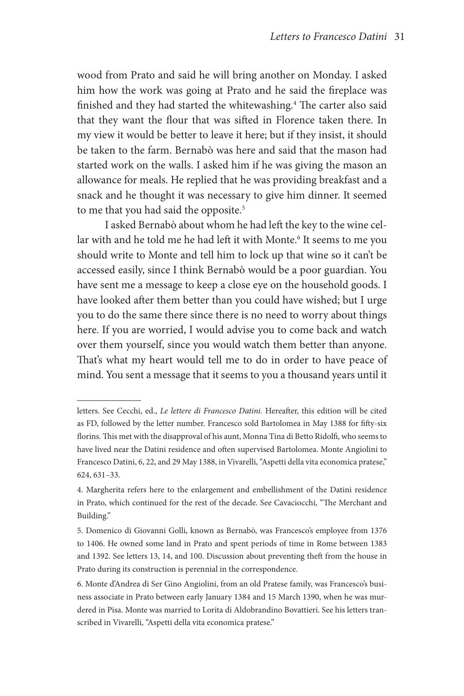wood from Prato and said he will bring another on Monday. I asked him how the work was going at Prato and he said the fireplace was finished and they had started the whitewashing.<sup>4</sup> The carter also said that they want the flour that was sifted in Florence taken there. In my view it would be better to leave it here; but if they insist, it should be taken to the farm. Bernabò was here and said that the mason had started work on the walls. I asked him if he was giving the mason an allowance for meals. He replied that he was providing breakfast and a snack and he thought it was necessary to give him dinner. It seemed to me that you had said the opposite.<sup>5</sup>

I asked Bernabò about whom he had left the key to the wine cellar with and he told me he had left it with Monte.<sup>6</sup> It seems to me you should write to Monte and tell him to lock up that wine so it can't be accessed easily, since I think Bernabò would be a poor guardian. You have sent me a message to keep a close eye on the household goods. I have looked after them better than you could have wished; but I urge you to do the same there since there is no need to worry about things here. If you are worried, I would advise you to come back and watch over them yourself, since you would watch them better than anyone. That's what my heart would tell me to do in order to have peace of mind. You sent a message that it seems to you a thousand years until it

letters. See Cecchi, ed., *Le lettere di Francesco Datini.* Hereafter, this edition will be cited as FD, followed by the letter number. Francesco sold Bartolomea in May 1388 for fifty-six florins. This met with the disapproval of his aunt, Monna Tina di Betto Ridolfi, who seems to have lived near the Datini residence and often supervised Bartolomea. Monte Angiolini to Francesco Datini, 6, 22, and 29 May 1388, in Vivarelli, "Aspetti della vita economica pratese," 624, 631–33.

<sup>4.</sup> Margherita refers here to the enlargement and embellishment of the Datini residence in Prato, which continued for the rest of the decade. See Cavaciocchi, "The Merchant and Building."

<sup>5.</sup> Domenico di Giovanni Golli, known as Bernabò, was Francesco's employee from 1376 to 1406. He owned some land in Prato and spent periods of time in Rome between 1383 and 1392. See letters 13, 14, and 100. Discussion about preventing theft from the house in Prato during its construction is perennial in the correspondence.

<sup>6.</sup> Monte d'Andrea di Ser Gino Angiolini, from an old Pratese family, was Francesco's business associate in Prato between early January 1384 and 15 March 1390, when he was murdered in Pisa. Monte was married to Lorita di Aldobrandino Bovattieri. See his letters transcribed in Vivarelli, "Aspetti della vita economica pratese."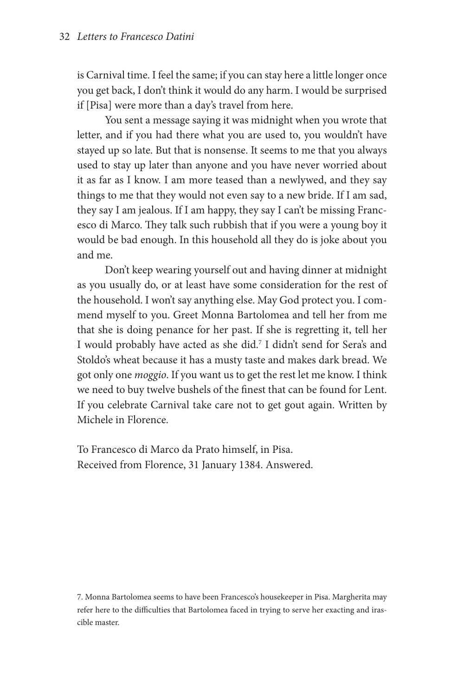is Carnival time. I feel the same; if you can stay here a little longer once you get back, I don't think it would do any harm. I would be surprised if [Pisa] were more than a day's travel from here.

You sent a message saying it was midnight when you wrote that letter, and if you had there what you are used to, you wouldn't have stayed up so late. But that is nonsense. It seems to me that you always used to stay up later than anyone and you have never worried about it as far as I know. I am more teased than a newlywed, and they say things to me that they would not even say to a new bride. If I am sad, they say I am jealous. If I am happy, they say I can't be missing Francesco di Marco. They talk such rubbish that if you were a young boy it would be bad enough. In this household all they do is joke about you and me.

Don't keep wearing yourself out and having dinner at midnight as you usually do, or at least have some consideration for the rest of the household. I won't say anything else. May God protect you. I commend myself to you. Greet Monna Bartolomea and tell her from me that she is doing penance for her past. If she is regretting it, tell her I would probably have acted as she did.<sup>7</sup> I didn't send for Sera's and Stoldo's wheat because it has a musty taste and makes dark bread. We got only one *moggio*. If you want us to get the rest let me know. I think we need to buy twelve bushels of the finest that can be found for Lent. If you celebrate Carnival take care not to get gout again. Written by Michele in Florence.

To Francesco di Marco da Prato himself, in Pisa. Received from Florence, 31 January 1384. Answered.

7. Monna Bartolomea seems to have been Francesco's housekeeper in Pisa. Margherita may refer here to the difficulties that Bartolomea faced in trying to serve her exacting and irascible master.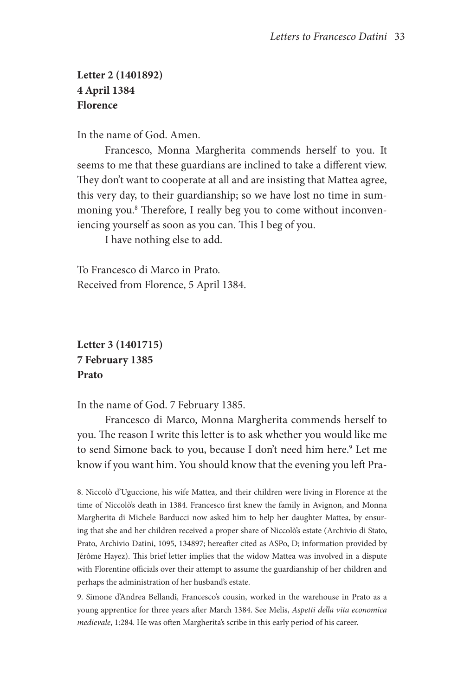### **Letter 2 (1401892) 4 April 1384 Florence**

In the name of God. Amen.

Francesco, Monna Margherita commends herself to you. It seems to me that these guardians are inclined to take a different view. They don't want to cooperate at all and are insisting that Mattea agree, this very day, to their guardianship; so we have lost no time in summoning you.8 Therefore, I really beg you to come without inconveniencing yourself as soon as you can. This I beg of you.

I have nothing else to add.

To Francesco di Marco in Prato. Received from Florence, 5 April 1384.

### **Letter 3 (1401715) 7 February 1385 Prato**

In the name of God. 7 February 1385.

Francesco di Marco, Monna Margherita commends herself to you. The reason I write this letter is to ask whether you would like me to send Simone back to you, because I don't need him here.<sup>9</sup> Let me know if you want him. You should know that the evening you left Pra-

8. Niccolò d'Uguccione, his wife Mattea, and their children were living in Florence at the time of Niccolò's death in 1384. Francesco first knew the family in Avignon, and Monna Margherita di Michele Barducci now asked him to help her daughter Mattea, by ensuring that she and her children received a proper share of Niccolò's estate (Archivio di Stato, Prato, Archivio Datini, 1095, 134897; hereafter cited as ASPo, D; information provided by Jérôme Hayez). This brief letter implies that the widow Mattea was involved in a dispute with Florentine officials over their attempt to assume the guardianship of her children and perhaps the administration of her husband's estate.

9. Simone d'Andrea Bellandi, Francesco's cousin, worked in the warehouse in Prato as a young apprentice for three years after March 1384. See Melis, *Aspetti della vita economica medievale*, 1:284. He was often Margherita's scribe in this early period of his career.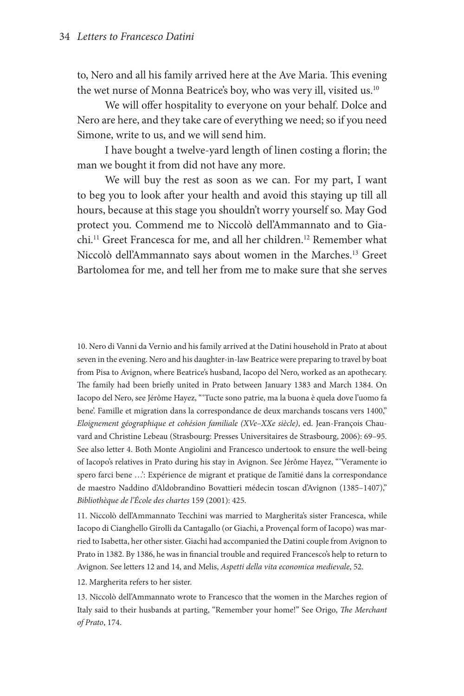to, Nero and all his family arrived here at the Ave Maria. This evening the wet nurse of Monna Beatrice's boy, who was very ill, visited us.<sup>10</sup>

We will offer hospitality to everyone on your behalf. Dolce and Nero are here, and they take care of everything we need; so if you need Simone, write to us, and we will send him.

I have bought a twelve-yard length of linen costing a florin; the man we bought it from did not have any more.

We will buy the rest as soon as we can. For my part, I want to beg you to look after your health and avoid this staying up till all hours, because at this stage you shouldn't worry yourself so. May God protect you. Commend me to Niccolò dell'Ammannato and to Giachi.11 Greet Francesca for me, and all her children.12 Remember what Niccolò dell'Ammannato says about women in the Marches.13 Greet Bartolomea for me, and tell her from me to make sure that she serves

10. Nero di Vanni da Vernio and his family arrived at the Datini household in Prato at about seven in the evening. Nero and his daughter-in-law Beatrice were preparing to travel by boat from Pisa to Avignon, where Beatrice's husband, Iacopo del Nero, worked as an apothecary. The family had been briefly united in Prato between January 1383 and March 1384. On Iacopo del Nero, see Jérôme Hayez, " 'Tucte sono patrie, ma la buona è quela dove l'uomo fa bene'. Famille et migration dans la correspondance de deux marchands toscans vers 1400," *Eloignement géographique et cohésion familiale (XVe–XXe siècle)*, ed. Jean-François Chauvard and Christine Lebeau (Strasbourg: Presses Universitaires de Strasbourg, 2006): 69–95. See also letter 4. Both Monte Angiolini and Francesco undertook to ensure the well-being of Iacopo's relatives in Prato during his stay in Avignon. See Jérôme Hayez, " 'Veramente io spero farci bene …': Expérience de migrant et pratique de l'amitié dans la correspondance de maestro Naddino d'Aldobrandino Bovattieri médecin toscan d'Avignon (1385–1407)," *Bibliothèque de l'École des chartes* 159 (2001): 425.

11. Niccolò dell'Ammannato Tecchini was married to Margherita's sister Francesca, while Iacopo di Cianghello Girolli da Cantagallo (or Giachi, a Provençal form of Iacopo) was married to Isabetta, her other sister. Giachi had accompanied the Datini couple from Avignon to Prato in 1382. By 1386, he was in financial trouble and required Francesco's help to return to Avignon. See letters 12 and 14, and Melis, *Aspetti della vita economica medievale*, 52.

12. Margherita refers to her sister.

13. Niccolò dell'Ammannato wrote to Francesco that the women in the Marches region of Italy said to their husbands at parting, "Remember your home!" See Origo, *The Merchant of Prato*, 174.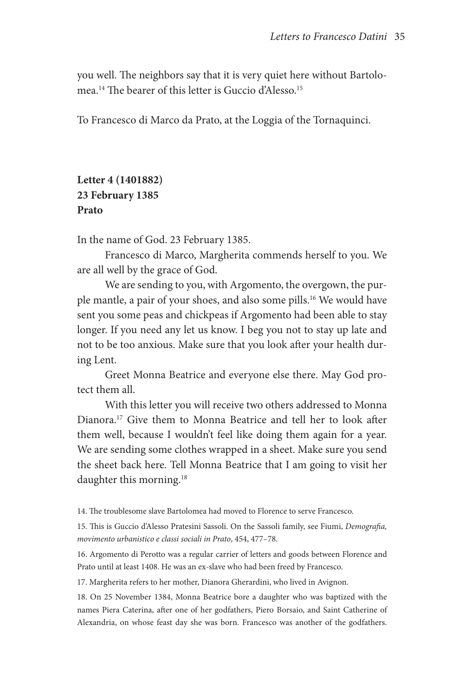you well. The neighbors say that it is very quiet here without Bartolomea.14 The bearer of this letter is Guccio d'Alesso.15

To Francesco di Marco da Prato, at the Loggia of the Tornaquinci.

### **Letter 4 (1401882) 23 February 1385 Prato**

In the name of God. 23 February 1385.

Francesco di Marco, Margherita commends herself to you. We are all well by the grace of God.

We are sending to you, with Argomento, the overgown, the purple mantle, a pair of your shoes, and also some pills.<sup>16</sup> We would have sent you some peas and chickpeas if Argomento had been able to stay longer. If you need any let us know. I beg you not to stay up late and not to be too anxious. Make sure that you look after your health during Lent.

Greet Monna Beatrice and everyone else there. May God protect them all.

With this letter you will receive two others addressed to Monna Dianora.17 Give them to Monna Beatrice and tell her to look after them well, because I wouldn't feel like doing them again for a year. We are sending some clothes wrapped in a sheet. Make sure you send the sheet back here. Tell Monna Beatrice that I am going to visit her daughter this morning.<sup>18</sup>

14. The troublesome slave Bartolomea had moved to Florence to serve Francesco.

15. This is Guccio d'Alesso Pratesini Sassoli. On the Sassoli family, see Fiumi, *Demografia, movimento urbanistico e classi sociali in Prato*, 454, 477–78.

16. Argomento di Perotto was a regular carrier of letters and goods between Florence and Prato until at least 1408. He was an ex-slave who had been freed by Francesco.

17. Margherita refers to her mother, Dianora Gherardini, who lived in Avignon.

18. On 25 November 1384, Monna Beatrice bore a daughter who was baptized with the names Piera Caterina, after one of her godfathers, Piero Borsaio, and Saint Catherine of Alexandria, on whose feast day she was born. Francesco was another of the godfathers.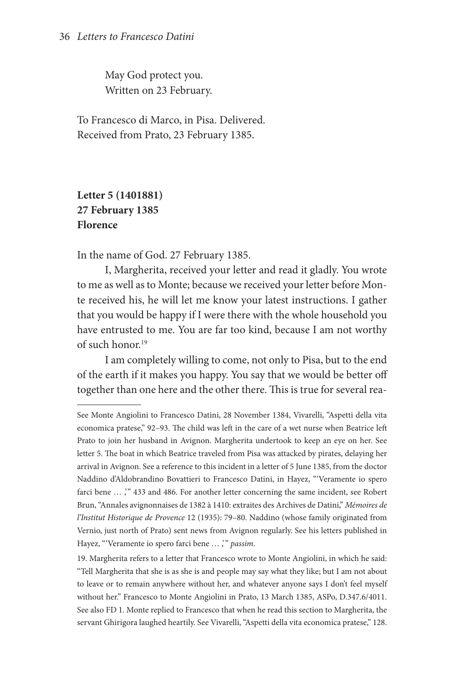May God protect you. Written on 23 February.

To Francesco di Marco, in Pisa. Delivered. Received from Prato, 23 February 1385.

# **Letter 5 (1401881) 27 February 1385 Florence**

In the name of God. 27 February 1385.

I, Margherita, received your letter and read it gladly. You wrote to me as well as to Monte; because we received your letter before Monte received his, he will let me know your latest instructions. I gather that you would be happy if I were there with the whole household you have entrusted to me. You are far too kind, because I am not worthy of such honor.<sup>19</sup>

I am completely willing to come, not only to Pisa, but to the end of the earth if it makes you happy. You say that we would be better off together than one here and the other there. This is true for several rea-

See Monte Angiolini to Francesco Datini, 28 November 1384, Vivarelli, "Aspetti della vita economica pratese," 92–93. The child was left in the care of a wet nurse when Beatrice left Prato to join her husband in Avignon. Margherita undertook to keep an eye on her. See letter 5. The boat in which Beatrice traveled from Pisa was attacked by pirates, delaying her arrival in Avignon. See a reference to this incident in a letter of 5 June 1385, from the doctor Naddino d'Aldobrandino Bovattieri to Francesco Datini, in Hayez, "'Veramente io spero farci bene ... ," 433 and 486. For another letter concerning the same incident, see Robert Brun, "Annales avignonnaises de 1382 à 1410: extraites des Archives de Datini," *Mémoires de l'Institut Historique de Provence* 12 (1935): 79–80. Naddino (whose family originated from Vernio, just north of Prato) sent news from Avignon regularly. See his letters published in Hayez, " 'Veramente io spero farci bene … ,' " *passim*.

<sup>19.</sup> Margherita refers to a letter that Francesco wrote to Monte Angiolini, in which he said: "Tell Margherita that she is as she is and people may say what they like; but I am not about to leave or to remain anywhere without her, and whatever anyone says I don't feel myself without her." Francesco to Monte Angiolini in Prato, 13 March 1385, ASPo, D.347.6/4011. See also FD 1. Monte replied to Francesco that when he read this section to Margherita, the servant Ghirigora laughed heartily. See Vivarelli, "Aspetti della vita economica pratese," 128.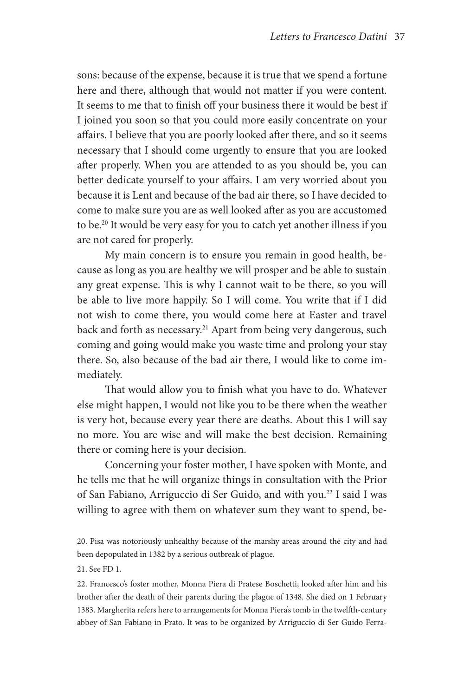sons: because of the expense, because it is true that we spend a fortune here and there, although that would not matter if you were content. It seems to me that to finish off your business there it would be best if I joined you soon so that you could more easily concentrate on your affairs. I believe that you are poorly looked after there, and so it seems necessary that I should come urgently to ensure that you are looked after properly. When you are attended to as you should be, you can better dedicate yourself to your affairs. I am very worried about you because it is Lent and because of the bad air there, so I have decided to come to make sure you are as well looked after as you are accustomed to be.20 It would be very easy for you to catch yet another illness if you are not cared for properly.

My main concern is to ensure you remain in good health, because as long as you are healthy we will prosper and be able to sustain any great expense. This is why I cannot wait to be there, so you will be able to live more happily. So I will come. You write that if I did not wish to come there, you would come here at Easter and travel back and forth as necessary.<sup>21</sup> Apart from being very dangerous, such coming and going would make you waste time and prolong your stay there. So, also because of the bad air there, I would like to come immediately.

That would allow you to finish what you have to do. Whatever else might happen, I would not like you to be there when the weather is very hot, because every year there are deaths. About this I will say no more. You are wise and will make the best decision. Remaining there or coming here is your decision.

Concerning your foster mother, I have spoken with Monte, and he tells me that he will organize things in consultation with the Prior of San Fabiano, Arriguccio di Ser Guido, and with you.22 I said I was willing to agree with them on whatever sum they want to spend, be-

21. See FD 1.

22. Francesco's foster mother, Monna Piera di Pratese Boschetti, looked after him and his brother after the death of their parents during the plague of 1348. She died on 1 February 1383. Margherita refers here to arrangements for Monna Piera's tomb in the twelfth-century abbey of San Fabiano in Prato. It was to be organized by Arriguccio di Ser Guido Ferra-

<sup>20.</sup> Pisa was notoriously unhealthy because of the marshy areas around the city and had been depopulated in 1382 by a serious outbreak of plague.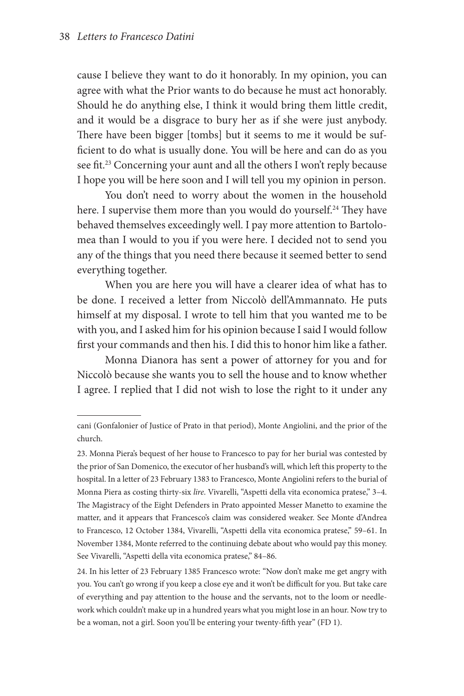cause I believe they want to do it honorably. In my opinion, you can agree with what the Prior wants to do because he must act honorably. Should he do anything else, I think it would bring them little credit, and it would be a disgrace to bury her as if she were just anybody. There have been bigger [tombs] but it seems to me it would be sufficient to do what is usually done. You will be here and can do as you see fit.<sup>23</sup> Concerning your aunt and all the others I won't reply because I hope you will be here soon and I will tell you my opinion in person.

You don't need to worry about the women in the household here. I supervise them more than you would do yourself.<sup>24</sup> They have behaved themselves exceedingly well. I pay more attention to Bartolomea than I would to you if you were here. I decided not to send you any of the things that you need there because it seemed better to send everything together.

When you are here you will have a clearer idea of what has to be done. I received a letter from Niccolò dell'Ammannato. He puts himself at my disposal. I wrote to tell him that you wanted me to be with you, and I asked him for his opinion because I said I would follow first your commands and then his. I did this to honor him like a father.

Monna Dianora has sent a power of attorney for you and for Niccolò because she wants you to sell the house and to know whether I agree. I replied that I did not wish to lose the right to it under any

cani (Gonfalonier of Justice of Prato in that period), Monte Angiolini, and the prior of the church.

<sup>23.</sup> Monna Piera's bequest of her house to Francesco to pay for her burial was contested by the prior of San Domenico, the executor of her husband's will, which left this property to the hospital. In a letter of 23 February 1383 to Francesco, Monte Angiolini refers to the burial of Monna Piera as costing thirty-six *lire*. Vivarelli, "Aspetti della vita economica pratese," 3–4. The Magistracy of the Eight Defenders in Prato appointed Messer Manetto to examine the matter, and it appears that Francesco's claim was considered weaker. See Monte d'Andrea to Francesco, 12 October 1384, Vivarelli, "Aspetti della vita economica pratese," 59–61. In November 1384, Monte referred to the continuing debate about who would pay this money. See Vivarelli, "Aspetti della vita economica pratese," 84–86.

<sup>24.</sup> In his letter of 23 February 1385 Francesco wrote: "Now don't make me get angry with you. You can't go wrong if you keep a close eye and it won't be difficult for you. But take care of everything and pay attention to the house and the servants, not to the loom or needlework which couldn't make up in a hundred years what you might lose in an hour. Now try to be a woman, not a girl. Soon you'll be entering your twenty-fifth year" (FD 1).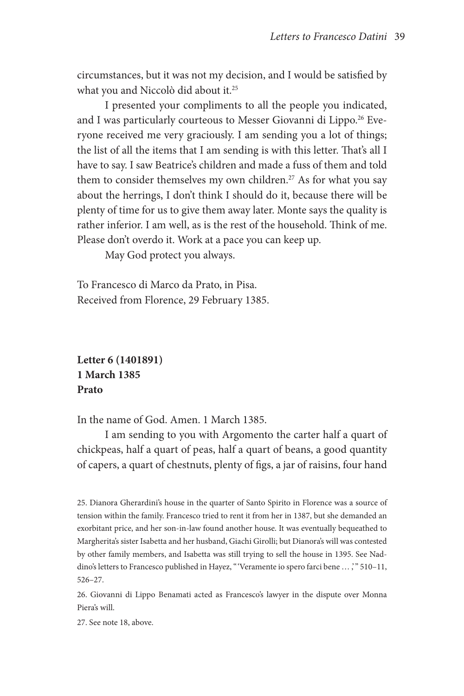circumstances, but it was not my decision, and I would be satisfied by what you and Niccolò did about it.<sup>25</sup>

I presented your compliments to all the people you indicated, and I was particularly courteous to Messer Giovanni di Lippo.<sup>26</sup> Everyone received me very graciously. I am sending you a lot of things; the list of all the items that I am sending is with this letter. That's all I have to say. I saw Beatrice's children and made a fuss of them and told them to consider themselves my own children.<sup>27</sup> As for what you say about the herrings, I don't think I should do it, because there will be plenty of time for us to give them away later. Monte says the quality is rather inferior. I am well, as is the rest of the household. Think of me. Please don't overdo it. Work at a pace you can keep up.

May God protect you always.

To Francesco di Marco da Prato, in Pisa. Received from Florence, 29 February 1385.

**Letter 6 (1401891) 1 March 1385 Prato**

In the name of God. Amen. 1 March 1385.

I am sending to you with Argomento the carter half a quart of chickpeas, half a quart of peas, half a quart of beans, a good quantity of capers, a quart of chestnuts, plenty of figs, a jar of raisins, four hand

25. Dianora Gherardini's house in the quarter of Santo Spirito in Florence was a source of tension within the family. Francesco tried to rent it from her in 1387, but she demanded an exorbitant price, and her son-in-law found another house. It was eventually bequeathed to Margherita's sister Isabetta and her husband, Giachi Girolli; but Dianora's will was contested by other family members, and Isabetta was still trying to sell the house in 1395. See Naddino's letters to Francesco published in Hayez, "'Veramente io spero farci bene ...;" 510-11, 526–27.

26. Giovanni di Lippo Benamati acted as Francesco's lawyer in the dispute over Monna Piera's will.

27. See note 18, above.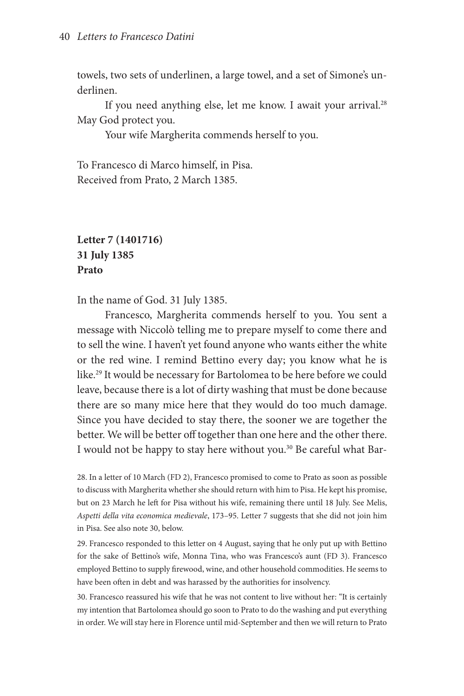towels, two sets of underlinen, a large towel, and a set of Simone's underlinen.

If you need anything else, let me know. I await your arrival.<sup>28</sup> May God protect you.

Your wife Margherita commends herself to you.

To Francesco di Marco himself, in Pisa. Received from Prato, 2 March 1385.

## **Letter 7 (1401716) 31 July 1385 Prato**

In the name of God. 31 July 1385.

Francesco, Margherita commends herself to you. You sent a message with Niccolò telling me to prepare myself to come there and to sell the wine. I haven't yet found anyone who wants either the white or the red wine. I remind Bettino every day; you know what he is like.<sup>29</sup> It would be necessary for Bartolomea to be here before we could leave, because there is a lot of dirty washing that must be done because there are so many mice here that they would do too much damage. Since you have decided to stay there, the sooner we are together the better. We will be better off together than one here and the other there. I would not be happy to stay here without you.<sup>30</sup> Be careful what Bar-

28. In a letter of 10 March (FD 2), Francesco promised to come to Prato as soon as possible to discuss with Margherita whether she should return with him to Pisa. He kept his promise, but on 23 March he left for Pisa without his wife, remaining there until 18 July. See Melis, *Aspetti della vita economica medievale*, 173–95. Letter 7 suggests that she did not join him in Pisa. See also note 30, below.

29. Francesco responded to this letter on 4 August, saying that he only put up with Bettino for the sake of Bettino's wife, Monna Tina, who was Francesco's aunt (FD 3). Francesco employed Bettino to supply firewood, wine, and other household commodities. He seems to have been often in debt and was harassed by the authorities for insolvency.

30. Francesco reassured his wife that he was not content to live without her: "It is certainly my intention that Bartolomea should go soon to Prato to do the washing and put everything in order. We will stay here in Florence until mid-September and then we will return to Prato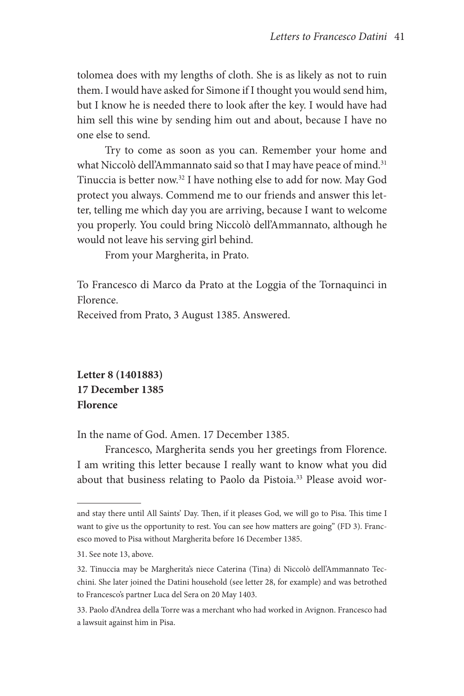tolomea does with my lengths of cloth. She is as likely as not to ruin them. I would have asked for Simone if I thought you would send him, but I know he is needed there to look after the key. I would have had him sell this wine by sending him out and about, because I have no one else to send.

Try to come as soon as you can. Remember your home and what Niccolò dell'Ammannato said so that I may have peace of mind.<sup>31</sup> Tinuccia is better now.32 I have nothing else to add for now. May God protect you always. Commend me to our friends and answer this letter, telling me which day you are arriving, because I want to welcome you properly. You could bring Niccolò dell'Ammannato, although he would not leave his serving girl behind.

From your Margherita, in Prato.

To Francesco di Marco da Prato at the Loggia of the Tornaquinci in Florence.

Received from Prato, 3 August 1385. Answered.

**Letter 8 (1401883) 17 December 1385 Florence**

In the name of God. Amen. 17 December 1385.

Francesco, Margherita sends you her greetings from Florence. I am writing this letter because I really want to know what you did about that business relating to Paolo da Pistoia.<sup>33</sup> Please avoid wor-

and stay there until All Saints' Day. Then, if it pleases God, we will go to Pisa. This time I want to give us the opportunity to rest. You can see how matters are going" (FD 3). Francesco moved to Pisa without Margherita before 16 December 1385.

<sup>31.</sup> See note 13, above.

<sup>32.</sup> Tinuccia may be Margherita's niece Caterina (Tina) di Niccolò dell'Ammannato Tecchini. She later joined the Datini household (see letter 28, for example) and was betrothed to Francesco's partner Luca del Sera on 20 May 1403.

<sup>33.</sup> Paolo d'Andrea della Torre was a merchant who had worked in Avignon. Francesco had a lawsuit against him in Pisa.